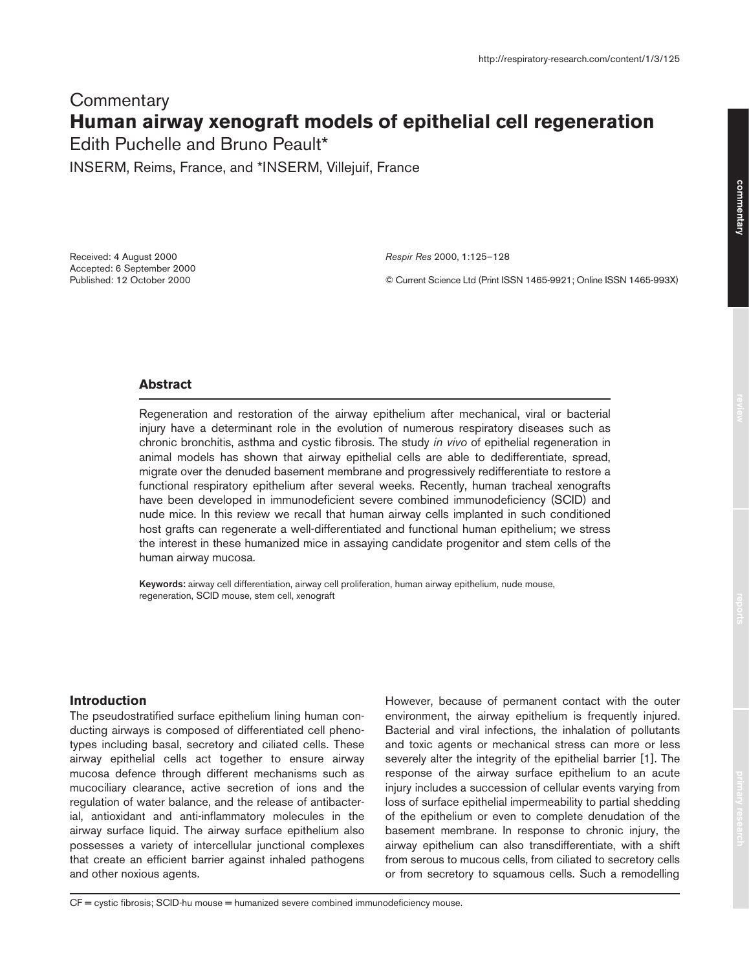# **Commentary Human airway xenograft models of epithelial cell regeneration**

Edith Puchelle and Bruno Peault\*

INSERM, Reims, France, and \*INSERM, Villejuif, France

Received: 4 August 2000 Accepted: 6 September 2000 Published: 12 October 2000

*Respir Res* 2000, **1**:125–128

© Current Science Ltd (Print ISSN 1465-9921; Online ISSN 1465-993X)

# **Abstract**

Regeneration and restoration of the airway epithelium after mechanical, viral or bacterial injury have a determinant role in the evolution of numerous respiratory diseases such as chronic bronchitis, asthma and cystic fibrosis. The study *in vivo* of epithelial regeneration in animal models has shown that airway epithelial cells are able to dedifferentiate, spread, migrate over the denuded basement membrane and progressively redifferentiate to restore a functional respiratory epithelium after several weeks. Recently, human tracheal xenografts have been developed in immunodeficient severe combined immunodeficiency (SCID) and nude mice. In this review we recall that human airway cells implanted in such conditioned host grafts can regenerate a well-differentiated and functional human epithelium; we stress the interest in these humanized mice in assaying candidate progenitor and stem cells of the human airway mucosa.

**Keywords:** airway cell differentiation, airway cell proliferation, human airway epithelium, nude mouse, regeneration, SCID mouse, stem cell, xenograft

#### **Introduction**

The pseudostratified surface epithelium lining human conducting airways is composed of differentiated cell phenotypes including basal, secretory and ciliated cells. These airway epithelial cells act together to ensure airway mucosa defence through different mechanisms such as mucociliary clearance, active secretion of ions and the regulation of water balance, and the release of antibacterial, antioxidant and anti-inflammatory molecules in the airway surface liquid. The airway surface epithelium also possesses a variety of intercellular junctional complexes that create an efficient barrier against inhaled pathogens and other noxious agents.

However, because of permanent contact with the outer environment, the airway epithelium is frequently injured. Bacterial and viral infections, the inhalation of pollutants and toxic agents or mechanical stress can more or less severely alter the integrity of the epithelial barrier [1]. The response of the airway surface epithelium to an acute injury includes a succession of cellular events varying from loss of surface epithelial impermeability to partial shedding of the epithelium or even to complete denudation of the basement membrane. In response to chronic injury, the airway epithelium can also transdifferentiate, with a shift from serous to mucous cells, from ciliated to secretory cells or from secretory to squamous cells. Such a remodelling

commentary **commentary**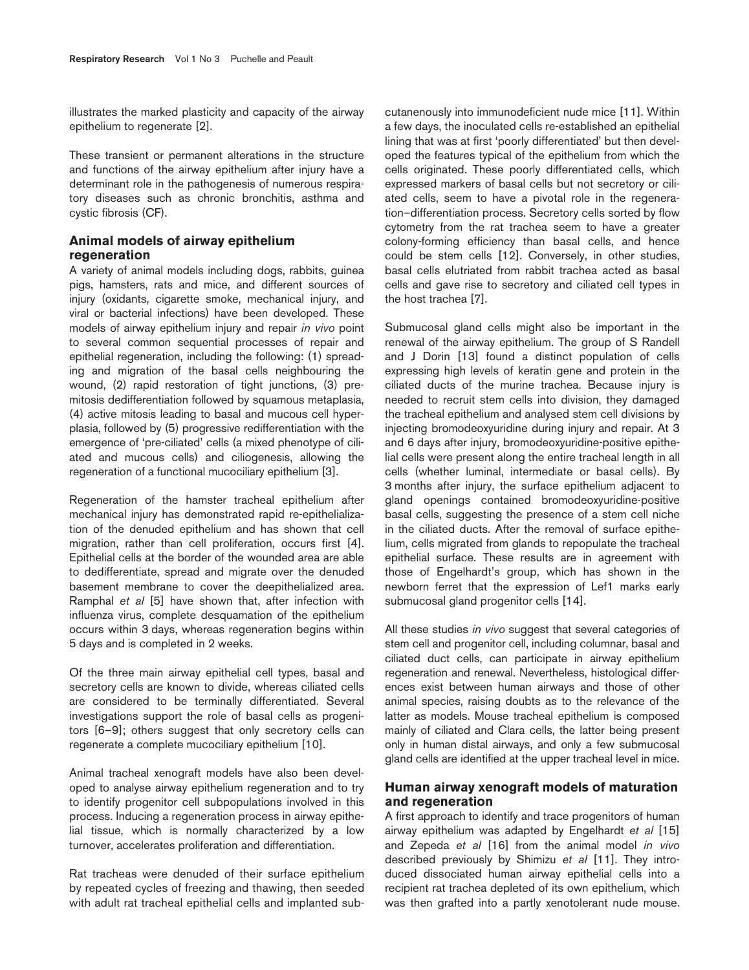illustrates the marked plasticity and capacity of the airway epithelium to regenerate [2].

These transient or permanent alterations in the structure and functions of the airway epithelium after injury have a determinant role in the pathogenesis of numerous respiratory diseases such as chronic bronchitis, asthma and cystic fibrosis (CF).

# **Animal models of airway epithelium regeneration**

A variety of animal models including dogs, rabbits, guinea pigs, hamsters, rats and mice, and different sources of injury (oxidants, cigarette smoke, mechanical injury, and viral or bacterial infections) have been developed. These models of airway epithelium injury and repair *in vivo* point to several common sequential processes of repair and epithelial regeneration, including the following: (1) spreading and migration of the basal cells neighbouring the wound, (2) rapid restoration of tight junctions, (3) premitosis dedifferentiation followed by squamous metaplasia, (4) active mitosis leading to basal and mucous cell hyperplasia, followed by (5) progressive redifferentiation with the emergence of 'pre-ciliated' cells (a mixed phenotype of ciliated and mucous cells) and ciliogenesis, allowing the regeneration of a functional mucociliary epithelium [3].

Regeneration of the hamster tracheal epithelium after mechanical injury has demonstrated rapid re-epithelialization of the denuded epithelium and has shown that cell migration, rather than cell proliferation, occurs first [4]. Epithelial cells at the border of the wounded area are able to dedifferentiate, spread and migrate over the denuded basement membrane to cover the deepithelialized area. Ramphal *et al* [5] have shown that, after infection with influenza virus, complete desquamation of the epithelium occurs within 3 days, whereas regeneration begins within 5 days and is completed in 2 weeks.

Of the three main airway epithelial cell types, basal and secretory cells are known to divide, whereas ciliated cells are considered to be terminally differentiated. Several investigations support the role of basal cells as progenitors [6–9]; others suggest that only secretory cells can regenerate a complete mucociliary epithelium [10].

Animal tracheal xenograft models have also been developed to analyse airway epithelium regeneration and to try to identify progenitor cell subpopulations involved in this process. Inducing a regeneration process in airway epithelial tissue, which is normally characterized by a low turnover, accelerates proliferation and differentiation.

Rat tracheas were denuded of their surface epithelium by repeated cycles of freezing and thawing, then seeded with adult rat tracheal epithelial cells and implanted subcutanenously into immunodeficient nude mice [11]. Within a few days, the inoculated cells re-established an epithelial lining that was at first 'poorly differentiated' but then developed the features typical of the epithelium from which the cells originated. These poorly differentiated cells, which expressed markers of basal cells but not secretory or ciliated cells, seem to have a pivotal role in the regeneration–differentiation process. Secretory cells sorted by flow cytometry from the rat trachea seem to have a greater colony-forming efficiency than basal cells, and hence could be stem cells [12]. Conversely, in other studies, basal cells elutriated from rabbit trachea acted as basal cells and gave rise to secretory and ciliated cell types in the host trachea [7].

Submucosal gland cells might also be important in the renewal of the airway epithelium. The group of S Randell and J Dorin [13] found a distinct population of cells expressing high levels of keratin gene and protein in the ciliated ducts of the murine trachea. Because injury is needed to recruit stem cells into division, they damaged the tracheal epithelium and analysed stem cell divisions by injecting bromodeoxyuridine during injury and repair. At 3 and 6 days after injury, bromodeoxyuridine-positive epithelial cells were present along the entire tracheal length in all cells (whether luminal, intermediate or basal cells). By 3 months after injury, the surface epithelium adjacent to gland openings contained bromodeoxyuridine-positive basal cells, suggesting the presence of a stem cell niche in the ciliated ducts. After the removal of surface epithelium, cells migrated from glands to repopulate the tracheal epithelial surface. These results are in agreement with those of Engelhardt's group, which has shown in the newborn ferret that the expression of Lef1 marks early submucosal gland progenitor cells [14].

All these studies *in vivo* suggest that several categories of stem cell and progenitor cell, including columnar, basal and ciliated duct cells, can participate in airway epithelium regeneration and renewal. Nevertheless, histological differences exist between human airways and those of other animal species, raising doubts as to the relevance of the latter as models. Mouse tracheal epithelium is composed mainly of ciliated and Clara cells, the latter being present only in human distal airways, and only a few submucosal gland cells are identified at the upper tracheal level in mice.

# **Human airway xenograft models of maturation and regeneration**

A first approach to identify and trace progenitors of human airway epithelium was adapted by Engelhardt *et al* [15] and Zepeda *et al* [16] from the animal model *in vivo* described previously by Shimizu *et al* [11]. They introduced dissociated human airway epithelial cells into a recipient rat trachea depleted of its own epithelium, which was then grafted into a partly xenotolerant nude mouse.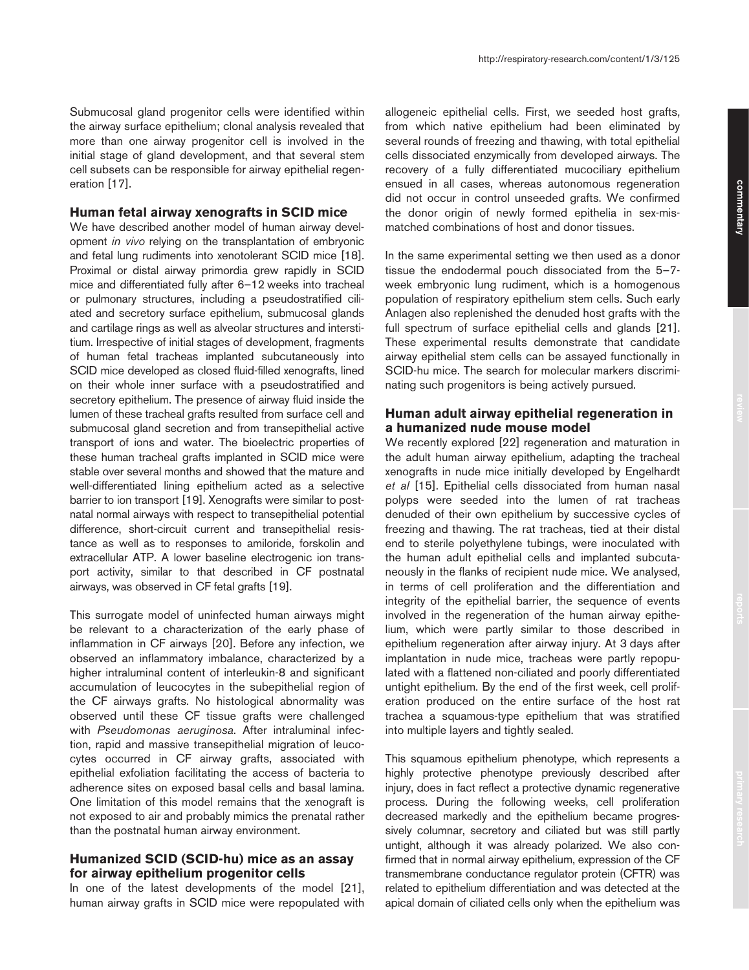## **Human fetal airway xenografts in SCID mice**

We have described another model of human airway development *in vivo* relying on the transplantation of embryonic and fetal lung rudiments into xenotolerant SCID mice [18]. Proximal or distal airway primordia grew rapidly in SCID mice and differentiated fully after 6–12 weeks into tracheal or pulmonary structures, including a pseudostratified ciliated and secretory surface epithelium, submucosal glands and cartilage rings as well as alveolar structures and interstitium. Irrespective of initial stages of development, fragments of human fetal tracheas implanted subcutaneously into SCID mice developed as closed fluid-filled xenografts, lined on their whole inner surface with a pseudostratified and secretory epithelium. The presence of airway fluid inside the lumen of these tracheal grafts resulted from surface cell and submucosal gland secretion and from transepithelial active transport of ions and water. The bioelectric properties of these human tracheal grafts implanted in SCID mice were stable over several months and showed that the mature and well-differentiated lining epithelium acted as a selective barrier to ion transport [19]. Xenografts were similar to postnatal normal airways with respect to transepithelial potential difference, short-circuit current and transepithelial resistance as well as to responses to amiloride, forskolin and extracellular ATP. A lower baseline electrogenic ion transport activity, similar to that described in CF postnatal airways, was observed in CF fetal grafts [19].

This surrogate model of uninfected human airways might be relevant to a characterization of the early phase of inflammation in CF airways [20]. Before any infection, we observed an inflammatory imbalance, characterized by a higher intraluminal content of interleukin-8 and significant accumulation of leucocytes in the subepithelial region of the CF airways grafts. No histological abnormality was observed until these CF tissue grafts were challenged with *Pseudomonas aeruginosa*. After intraluminal infection, rapid and massive transepithelial migration of leucocytes occurred in CF airway grafts, associated with epithelial exfoliation facilitating the access of bacteria to adherence sites on exposed basal cells and basal lamina. One limitation of this model remains that the xenograft is not exposed to air and probably mimics the prenatal rather than the postnatal human airway environment.

## **Humanized SCID (SCID-hu) mice as an assay for airway epithelium progenitor cells**

In one of the latest developments of the model [21], human airway grafts in SCID mice were repopulated with allogeneic epithelial cells. First, we seeded host grafts, from which native epithelium had been eliminated by several rounds of freezing and thawing, with total epithelial cells dissociated enzymically from developed airways. The recovery of a fully differentiated mucociliary epithelium ensued in all cases, whereas autonomous regeneration did not occur in control unseeded grafts. We confirmed the donor origin of newly formed epithelia in sex-mismatched combinations of host and donor tissues.

In the same experimental setting we then used as a donor tissue the endodermal pouch dissociated from the 5–7 week embryonic lung rudiment, which is a homogenous population of respiratory epithelium stem cells. Such early Anlagen also replenished the denuded host grafts with the full spectrum of surface epithelial cells and glands [21]. These experimental results demonstrate that candidate airway epithelial stem cells can be assayed functionally in SCID-hu mice. The search for molecular markers discriminating such progenitors is being actively pursued.

# **Human adult airway epithelial regeneration in a humanized nude mouse model**

We recently explored [22] regeneration and maturation in the adult human airway epithelium, adapting the tracheal xenografts in nude mice initially developed by Engelhardt *et al* [15]. Epithelial cells dissociated from human nasal polyps were seeded into the lumen of rat tracheas denuded of their own epithelium by successive cycles of freezing and thawing. The rat tracheas, tied at their distal end to sterile polyethylene tubings, were inoculated with the human adult epithelial cells and implanted subcutaneously in the flanks of recipient nude mice. We analysed, in terms of cell proliferation and the differentiation and integrity of the epithelial barrier, the sequence of events involved in the regeneration of the human airway epithelium, which were partly similar to those described in epithelium regeneration after airway injury. At 3 days after implantation in nude mice, tracheas were partly repopulated with a flattened non-ciliated and poorly differentiated untight epithelium. By the end of the first week, cell proliferation produced on the entire surface of the host rat trachea a squamous-type epithelium that was stratified into multiple layers and tightly sealed.

This squamous epithelium phenotype, which represents a highly protective phenotype previously described after injury, does in fact reflect a protective dynamic regenerative process. During the following weeks, cell proliferation decreased markedly and the epithelium became progressively columnar, secretory and ciliated but was still partly untight, although it was already polarized. We also confirmed that in normal airway epithelium, expression of the CF transmembrane conductance regulator protein (CFTR) was related to epithelium differentiation and was detected at the apical domain of ciliated cells only when the epithelium was